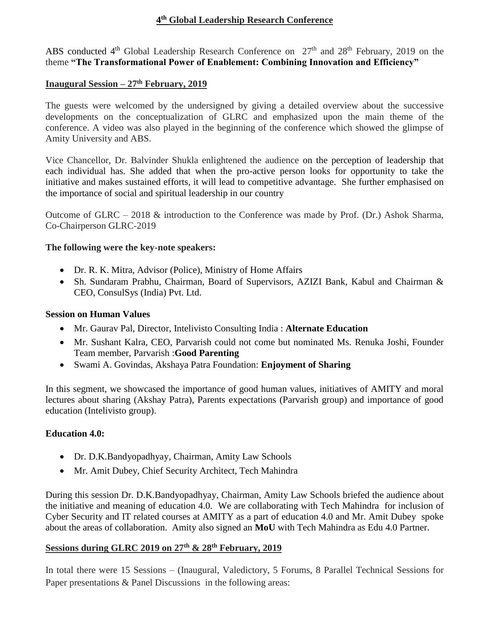### **4 th Global Leadership Research Conference**

ABS conducted  $4<sup>th</sup>$  Global Leadership Research Conference on  $27<sup>th</sup>$  and  $28<sup>th</sup>$  February, 2019 on the theme **"The Transformational Power of Enablement: Combining Innovation and Efficiency"** 

### **Inaugural Session – 27th February, 2019**

The guests were welcomed by the undersigned by giving a detailed overview about the successive developments on the conceptualization of GLRC and emphasized upon the main theme of the conference. A video was also played in the beginning of the conference which showed the glimpse of Amity University and ABS.

Vice Chancellor, Dr. Balvinder Shukla enlightened the audience on the perception of leadership that each individual has. She added that when the pro-active person looks for opportunity to take the initiative and makes sustained efforts, it will lead to competitive advantage. She further emphasised on the importance of social and spiritual leadership in our country

Outcome of GLRC – 2018 & introduction to the Conference was made by Prof. (Dr.) Ashok Sharma, Co-Chairperson GLRC-2019

### **The following were the key-note speakers:**

- Dr. R. K. Mitra, Advisor (Police), Ministry of Home Affairs
- Sh. Sundaram Prabhu, Chairman, Board of Supervisors, AZIZI Bank, Kabul and Chairman & CEO, ConsulSys (India) Pvt. Ltd.

### **Session on Human Values**

- Mr. Gaurav Pal, Director, Intelivisto Consulting India : **Alternate Education**
- Mr. Sushant Kalra, CEO, Parvarish could not come but nominated Ms. Renuka Joshi, Founder Team member, Parvarish :**Good Parenting**
- Swami A. Govindas, Akshaya Patra Foundation: **Enjoyment of Sharing**

In this segment, we showcased the importance of good human values, initiatives of AMITY and moral lectures about sharing (Akshay Patra), Parents expectations (Parvarish group) and importance of good education (Intelivisto group).

### **Education 4.0:**

- Dr. D.K.Bandyopadhyay, Chairman, Amity Law Schools
- Mr. Amit Dubey, Chief Security Architect, Tech Mahindra

During this session Dr. D.K.Bandyopadhyay, Chairman, Amity Law Schools briefed the audience about the initiative and meaning of education 4.0. We are collaborating with Tech Mahindra for inclusion of Cyber Security and IT related courses at AMITY as a part of education 4.0 and Mr. Amit Dubey spoke about the areas of collaboration. Amity also signed an **MoU** with Tech Mahindra as Edu 4.0 Partner.

### **Sessions during GLRC 2019 on 27th & 28th February, 2019**

In total there were 15 Sessions – (Inaugural, Valedictory, 5 Forums, 8 Parallel Technical Sessions for Paper presentations & Panel Discussions in the following areas: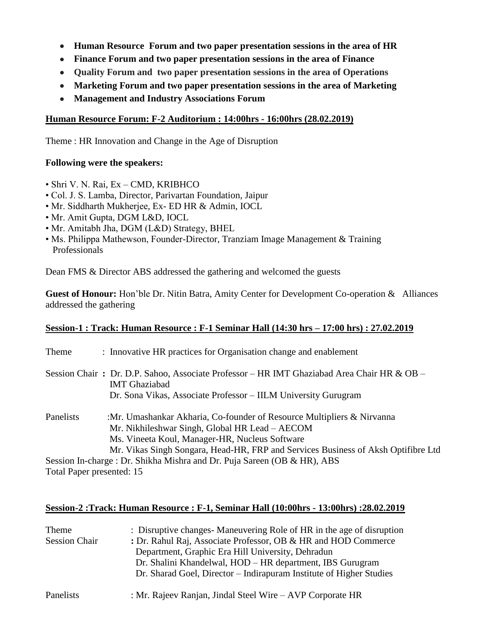- **Human Resource Forum and two paper presentation sessions in the area of HR**
- **Finance Forum and two paper presentation sessions in the area of Finance**
- **Quality Forum and two paper presentation sessions in the area of Operations**
- **Marketing Forum and two paper presentation sessions in the area of Marketing**
- **Management and Industry Associations Forum**

### **Human Resource Forum: F-2 Auditorium : 14:00hrs - 16:00hrs (28.02.2019)**

Theme : HR Innovation and Change in the Age of Disruption

### **Following were the speakers:**

- Shri V. N. Rai, Ex CMD, KRIBHCO
- Col. J. S. Lamba, Director, Parivartan Foundation, Jaipur
- Mr. Siddharth Mukherjee, Ex- ED HR & Admin, IOCL
- Mr. Amit Gupta, DGM L&D, IOCL
- Mr. Amitabh Jha, DGM (L&D) Strategy, BHEL
- Ms. Philippa Mathewson, Founder-Director, Tranziam Image Management & Training Professionals

Dean FMS & Director ABS addressed the gathering and welcomed the guests

**Guest of Honour:** Hon'ble Dr. Nitin Batra, Amity Center for Development Co-operation & Alliances addressed the gathering

## **Session-1 : Track: Human Resource : F-1 Seminar Hall (14:30 hrs – 17:00 hrs) : 27.02.2019**

| Theme                     | : Innovative HR practices for Organisation change and enablement                                                            |
|---------------------------|-----------------------------------------------------------------------------------------------------------------------------|
|                           | Session Chair: Dr. D.P. Sahoo, Associate Professor – HR IMT Ghaziabad Area Chair HR & OB –<br><b>IMT</b> Ghaziabad          |
|                           | Dr. Sona Vikas, Associate Professor – IILM University Gurugram                                                              |
| Panelists                 | :Mr. Umashankar Akharia, Co-founder of Resource Multipliers $\&$ Nirvanna<br>Mr. Nikhileshwar Singh, Global HR Lead – AECOM |
|                           | Ms. Vineeta Koul, Manager-HR, Nucleus Software                                                                              |
|                           | Mr. Vikas Singh Songara, Head-HR, FRP and Services Business of Aksh Optifibre Ltd                                           |
|                           | Session In-charge : Dr. Shikha Mishra and Dr. Puja Sareen (OB & HR), ABS                                                    |
| Total Paper presented: 15 |                                                                                                                             |

# **Session-2 :Track: Human Resource : F-1, Seminar Hall (10:00hrs - 13:00hrs) :28.02.2019**

| Theme                | : Disruptive changes-Maneuvering Role of HR in the age of disruption |
|----------------------|----------------------------------------------------------------------|
| <b>Session Chair</b> | : Dr. Rahul Raj, Associate Professor, OB & HR and HOD Commerce       |
|                      | Department, Graphic Era Hill University, Dehradun                    |
|                      | Dr. Shalini Khandelwal, HOD – HR department, IBS Gurugram            |
|                      | Dr. Sharad Goel, Director – Indirapuram Institute of Higher Studies  |
| Panelists            | : Mr. Rajeev Ranjan, Jindal Steel Wire – AVP Corporate HR            |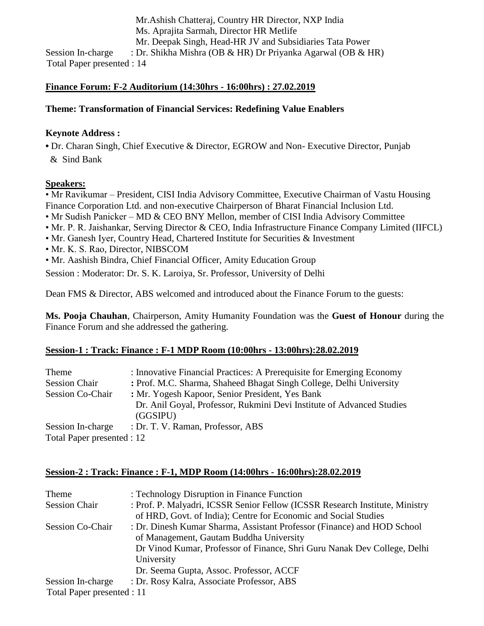Mr.Ashish Chatteraj, Country HR Director, NXP India Ms. Aprajita Sarmah, Director HR Metlife Mr. Deepak Singh, Head-HR JV and Subsidiaries Tata Power Session In-charge : Dr. Shikha Mishra (OB & HR) Dr Priyanka Agarwal (OB & HR) Total Paper presented : 14

### **Finance Forum: F-2 Auditorium (14:30hrs - 16:00hrs) : 27.02.2019**

### **Theme: Transformation of Financial Services: Redefining Value Enablers**

### **Keynote Address :**

**•** Dr. Charan Singh, Chief Executive & Director, EGROW and Non- Executive Director, Punjab & Sind Bank

### **Speakers:**

• Mr Ravikumar – President, CISI India Advisory Committee, Executive Chairman of Vastu Housing Finance Corporation Ltd. and non-executive Chairperson of Bharat Financial Inclusion Ltd.

- Mr Sudish Panicker MD & CEO BNY Mellon, member of CISI India Advisory Committee
- Mr. P. R. Jaishankar, Serving Director & CEO, India Infrastructure Finance Company Limited (IIFCL)
- Mr. Ganesh Iyer, Country Head, Chartered Institute for Securities & Investment
- Mr. K. S. Rao, Director, NIBSCOM
- Mr. Aashish Bindra, Chief Financial Officer, Amity Education Group

Session : Moderator: Dr. S. K. Laroiya, Sr. Professor, University of Delhi

Dean FMS & Director, ABS welcomed and introduced about the Finance Forum to the guests:

**Ms. Pooja Chauhan**, Chairperson, Amity Humanity Foundation was the **Guest of Honour** during the Finance Forum and she addressed the gathering.

### **Session-1 : Track: Finance : F-1 MDP Room (10:00hrs - 13:00hrs):28.02.2019**

| Theme                      | : Innovative Financial Practices: A Prerequisite for Emerging Economy |
|----------------------------|-----------------------------------------------------------------------|
| <b>Session Chair</b>       | : Prof. M.C. Sharma, Shaheed Bhagat Singh College, Delhi University   |
| <b>Session Co-Chair</b>    | : Mr. Yogesh Kapoor, Senior President, Yes Bank                       |
|                            | Dr. Anil Goyal, Professor, Rukmini Devi Institute of Advanced Studies |
|                            | (GGSPU)                                                               |
| Session In-charge          | : Dr. T. V. Raman, Professor, ABS                                     |
| Total Paper presented : 12 |                                                                       |

### **Session-2 : Track: Finance : F-1, MDP Room (14:00hrs - 16:00hrs):28.02.2019**

| Theme                      | : Technology Disruption in Finance Function                                  |
|----------------------------|------------------------------------------------------------------------------|
| <b>Session Chair</b>       | : Prof. P. Malyadri, ICSSR Senior Fellow (ICSSR Research Institute, Ministry |
|                            | of HRD, Govt. of India); Centre for Economic and Social Studies              |
| <b>Session Co-Chair</b>    | : Dr. Dinesh Kumar Sharma, Assistant Professor (Finance) and HOD School      |
|                            | of Management, Gautam Buddha University                                      |
|                            | Dr Vinod Kumar, Professor of Finance, Shri Guru Nanak Dev College, Delhi     |
|                            | University                                                                   |
|                            | Dr. Seema Gupta, Assoc. Professor, ACCF                                      |
| Session In-charge          | : Dr. Rosy Kalra, Associate Professor, ABS                                   |
| Total Paper presented : 11 |                                                                              |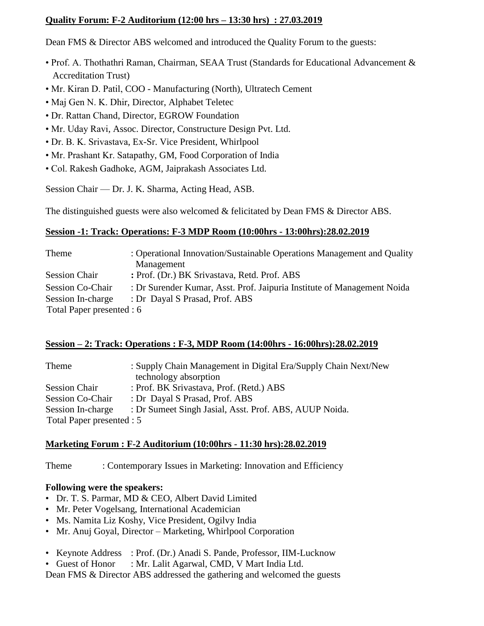### **Quality Forum: F-2 Auditorium (12:00 hrs – 13:30 hrs) : 27.03.2019**

Dean FMS & Director ABS welcomed and introduced the Quality Forum to the guests:

- Prof. A. Thothathri Raman, Chairman, SEAA Trust (Standards for Educational Advancement & Accreditation Trust)
- Mr. Kiran D. Patil, COO Manufacturing (North), Ultratech Cement
- Maj Gen N. K. Dhir, Director, Alphabet Teletec
- Dr. Rattan Chand, Director, EGROW Foundation
- Mr. Uday Ravi, Assoc. Director, Constructure Design Pvt. Ltd.
- Dr. B. K. Srivastava, Ex-Sr. Vice President, Whirlpool
- Mr. Prashant Kr. Satapathy, GM, Food Corporation of India
- Col. Rakesh Gadhoke, AGM, Jaiprakash Associates Ltd.

Session Chair –– Dr. J. K. Sharma, Acting Head, ASB.

The distinguished guests were also welcomed & felicitated by Dean FMS & Director ABS.

## **Session -1: Track: Operations: F-3 MDP Room (10:00hrs - 13:00hrs):28.02.2019**

| Theme                     | : Operational Innovation/Sustainable Operations Management and Quality  |
|---------------------------|-------------------------------------------------------------------------|
|                           | Management                                                              |
| <b>Session Chair</b>      | : Prof. (Dr.) BK Srivastava, Retd. Prof. ABS                            |
| <b>Session Co-Chair</b>   | : Dr Surender Kumar, Asst. Prof. Jaipuria Institute of Management Noida |
| Session In-charge         | : Dr Dayal S Prasad, Prof. ABS                                          |
| Total Paper presented : 6 |                                                                         |

### **Session – 2: Track: Operations : F-3, MDP Room (14:00hrs - 16:00hrs):28.02.2019**

| Theme                     | : Supply Chain Management in Digital Era/Supply Chain Next/New |
|---------------------------|----------------------------------------------------------------|
|                           | technology absorption                                          |
| <b>Session Chair</b>      | : Prof. BK Srivastava, Prof. (Retd.) ABS                       |
| <b>Session Co-Chair</b>   | : Dr Dayal S Prasad, Prof. ABS                                 |
| Session In-charge         | : Dr Sumeet Singh Jasial, Asst. Prof. ABS, AUUP Noida.         |
| Total Paper presented : 5 |                                                                |

## **Marketing Forum : F-2 Auditorium (10:00hrs - 11:30 hrs):28.02.2019**

Theme : Contemporary Issues in Marketing: Innovation and Efficiency

## **Following were the speakers:**

- Dr. T. S. Parmar, MD & CEO, Albert David Limited
- Mr. Peter Vogelsang, International Academician
- Ms. Namita Liz Koshy, Vice President, Ogilvy India
- Mr. Anuj Goyal, Director Marketing, Whirlpool Corporation
- Keynote Address : Prof. (Dr.) Anadi S. Pande, Professor, IIM-Lucknow
- Guest of Honor : Mr. Lalit Agarwal, CMD, V Mart India Ltd.

Dean FMS & Director ABS addressed the gathering and welcomed the guests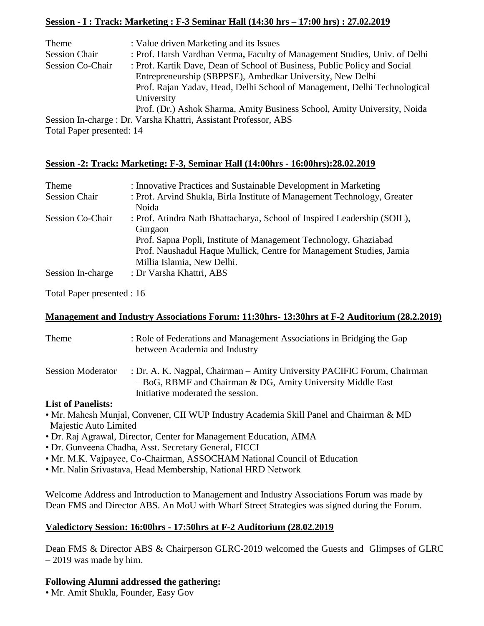## **Session - I : Track: Marketing : F-3 Seminar Hall (14:30 hrs – 17:00 hrs) : 27.02.2019**

| Theme                     | : Value driven Marketing and its Issues                                    |
|---------------------------|----------------------------------------------------------------------------|
| <b>Session Chair</b>      | : Prof. Harsh Vardhan Verma, Faculty of Management Studies, Univ. of Delhi |
| <b>Session Co-Chair</b>   | : Prof. Kartik Dave, Dean of School of Business, Public Policy and Social  |
|                           | Entrepreneurship (SBPPSE), Ambedkar University, New Delhi                  |
|                           | Prof. Rajan Yadav, Head, Delhi School of Management, Delhi Technological   |
|                           | University                                                                 |
|                           | Prof. (Dr.) Ashok Sharma, Amity Business School, Amity University, Noida   |
|                           | Session In-charge : Dr. Varsha Khattri, Assistant Professor, ABS           |
| Total Paper presented: 14 |                                                                            |

## **Session -2: Track: Marketing: F-3, Seminar Hall (14:00hrs - 16:00hrs):28.02.2019**

| Theme                   | : Innovative Practices and Sustainable Development in Marketing                                                                         |
|-------------------------|-----------------------------------------------------------------------------------------------------------------------------------------|
| <b>Session Chair</b>    | : Prof. Arvind Shukla, Birla Institute of Management Technology, Greater<br>Noida                                                       |
| <b>Session Co-Chair</b> | : Prof. Atindra Nath Bhattacharya, School of Inspired Leadership (SOIL),<br>Gurgaon                                                     |
|                         | Prof. Sapna Popli, Institute of Management Technology, Ghaziabad<br>Prof. Naushadul Haque Mullick, Centre for Management Studies, Jamia |
|                         | Millia Islamia, New Delhi.                                                                                                              |
| Session In-charge       | : Dr Varsha Khattri, ABS                                                                                                                |

Total Paper presented : 16

### **Management and Industry Associations Forum: 11:30hrs- 13:30hrs at F-2 Auditorium (28.2.2019)**

| Theme                          | : Role of Federations and Management Associations in Bridging the Gap<br>between Academia and Industry                                                                        |
|--------------------------------|-------------------------------------------------------------------------------------------------------------------------------------------------------------------------------|
| <b>Session Moderator</b>       | : Dr. A. K. Nagpal, Chairman – Amity University PACIFIC Forum, Chairman<br>$-$ BoG, RBMF and Chairman & DG, Amity University Middle East<br>Initiative moderated the session. |
| $\mathbf{I}$ ist of Donalistan |                                                                                                                                                                               |

### **List of Panelists:**

- Mr. Mahesh Munjal, Convener, CII WUP Industry Academia Skill Panel and Chairman & MD Majestic Auto Limited
- Dr. Raj Agrawal, Director, Center for Management Education, AIMA
- Dr. Gunveena Chadha, Asst. Secretary General, FICCI
- Mr. M.K. Vajpayee, Co-Chairman, ASSOCHAM National Council of Education
- Mr. Nalin Srivastava, Head Membership, National HRD Network

Welcome Address and Introduction to Management and Industry Associations Forum was made by Dean FMS and Director ABS. An MoU with Wharf Street Strategies was signed during the Forum.

## **Valedictory Session: 16:00hrs - 17:50hrs at F-2 Auditorium (28.02.2019**

Dean FMS & Director ABS & Chairperson GLRC-2019 welcomed the Guests and Glimpses of GLRC – 2019 was made by him.

### **Following Alumni addressed the gathering:**

• Mr. Amit Shukla, Founder, Easy Gov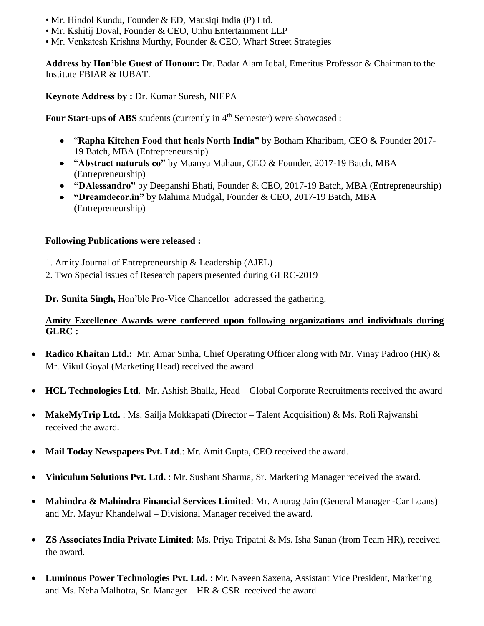- Mr. Hindol Kundu, Founder & ED, Mausiqi India (P) Ltd.
- Mr. Kshitij Doval, Founder & CEO, Unhu Entertainment LLP
- Mr. Venkatesh Krishna Murthy, Founder & CEO, Wharf Street Strategies

**Address by Hon'ble Guest of Honour:** Dr. Badar Alam Iqbal, Emeritus Professor & Chairman to the Institute FBIAR & IUBAT.

**Keynote Address by :** Dr. Kumar Suresh, NIEPA

**Four Start-ups of ABS** students (currently in 4<sup>th</sup> Semester) were showcased :

- "**Rapha Kitchen Food that heals North India"** by Botham Kharibam, CEO & Founder 2017- 19 Batch, MBA (Entrepreneurship)
- "**Abstract naturals co"** by Maanya Mahaur, CEO & Founder, 2017-19 Batch, MBA (Entrepreneurship)
- **"DAlessandro"** by Deepanshi Bhati, Founder & CEO, 2017-19 Batch, MBA (Entrepreneurship)
- **"Dreamdecor.in"** by Mahima Mudgal, Founder & CEO, 2017-19 Batch, MBA (Entrepreneurship)

### **Following Publications were released :**

- 1. Amity Journal of Entrepreneurship & Leadership (AJEL)
- 2. Two Special issues of Research papers presented during GLRC-2019

**Dr. Sunita Singh,** Hon'ble Pro-Vice Chancellor addressed the gathering.

### **Amity Excellence Awards were conferred upon following organizations and individuals during GLRC :**

- **Radico Khaitan Ltd.:** Mr. Amar Sinha, Chief Operating Officer along with Mr. Vinay Padroo (HR) & Mr. Vikul Goyal (Marketing Head) received the award
- **HCL Technologies Ltd**. Mr. Ashish Bhalla, Head Global Corporate Recruitments received the award
- **MakeMyTrip Ltd.** : Ms. Sailja Mokkapati (Director Talent Acquisition) & Ms. Roli Rajwanshi received the award.
- **Mail Today Newspapers Pvt. Ltd**.: Mr. Amit Gupta, CEO received the award.
- **Viniculum Solutions Pvt. Ltd.** : Mr. Sushant Sharma, Sr. Marketing Manager received the award.
- **Mahindra & Mahindra Financial Services Limited**: Mr. Anurag Jain (General Manager -Car Loans) and Mr. Mayur Khandelwal – Divisional Manager received the award.
- **ZS Associates India Private Limited**: Ms. Priya Tripathi & Ms. Isha Sanan (from Team HR), received the award.
- **Luminous Power Technologies Pvt. Ltd.** : Mr. Naveen Saxena, Assistant Vice President, Marketing and Ms. Neha Malhotra, Sr. Manager – HR & CSR received the award